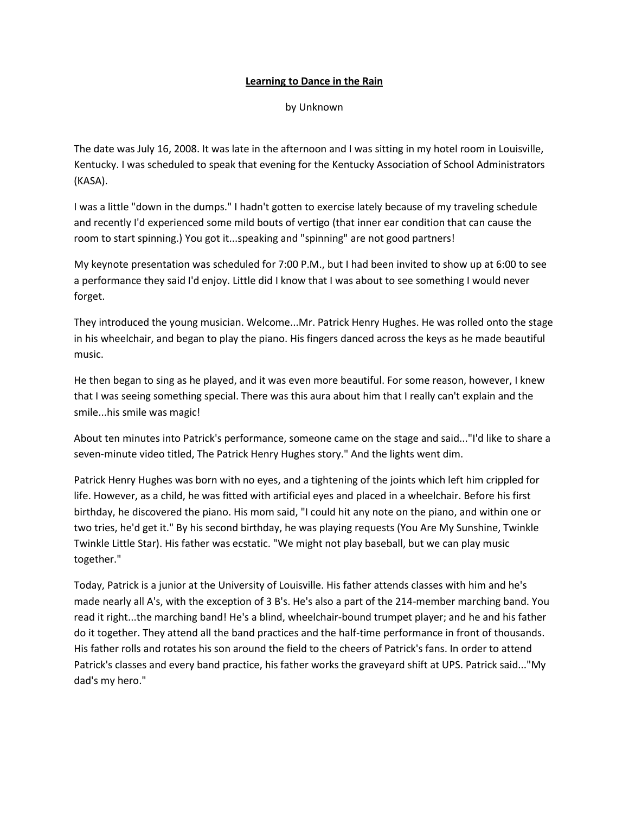## **Learning to Dance in the Rain**

by Unknown

The date was July 16, 2008. It was late in the afternoon and I was sitting in my hotel room in Louisville, Kentucky. I was scheduled to speak that evening for the Kentucky Association of School Administrators (KASA).

I was a little "down in the dumps." I hadn't gotten to exercise lately because of my traveling schedule and recently I'd experienced some mild bouts of vertigo (that inner ear condition that can cause the room to start spinning.) You got it...speaking and "spinning" are not good partners!

My keynote presentation was scheduled for 7:00 P.M., but I had been invited to show up at 6:00 to see a performance they said I'd enjoy. Little did I know that I was about to see something I would never forget.

They introduced the young musician. Welcome...Mr. Patrick Henry Hughes. He was rolled onto the stage in his wheelchair, and began to play the piano. His fingers danced across the keys as he made beautiful music.

He then began to sing as he played, and it was even more beautiful. For some reason, however, I knew that I was seeing something special. There was this aura about him that I really can't explain and the smile...his smile was magic!

About ten minutes into Patrick's performance, someone came on the stage and said..."I'd like to share a seven-minute video titled, The Patrick Henry Hughes story." And the lights went dim.

Patrick Henry Hughes was born with no eyes, and a tightening of the joints which left him crippled for life. However, as a child, he was fitted with artificial eyes and placed in a wheelchair. Before his first birthday, he discovered the piano. His mom said, "I could hit any note on the piano, and within one or two tries, he'd get it." By his second birthday, he was playing requests (You Are My Sunshine, Twinkle Twinkle Little Star). His father was ecstatic. "We might not play baseball, but we can play music together."

Today, Patrick is a junior at the University of Louisville. His father attends classes with him and he's made nearly all A's, with the exception of 3 B's. He's also a part of the 214-member marching band. You read it right...the marching band! He's a blind, wheelchair-bound trumpet player; and he and his father do it together. They attend all the band practices and the half-time performance in front of thousands. His father rolls and rotates his son around the field to the cheers of Patrick's fans. In order to attend Patrick's classes and every band practice, his father works the graveyard shift at UPS. Patrick said..."My dad's my hero."